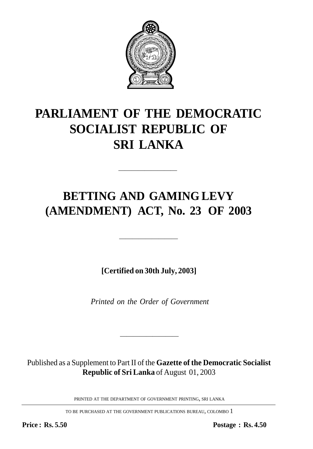

# **PARLIAMENT OF THE DEMOCRATIC SOCIALIST REPUBLIC OF SRI LANKA**

## **BETTING AND GAMING LEVY (AMENDMENT) ACT, No. 23 OF 2003**

—————————

**[Certified on 30th July, 2003]**

—————————

*Printed on the Order of Government*

Published as a Supplement to Part II of the **Gazette of the Democratic Socialist Republic of Sri Lanka** of August 01, 2003

—————————

PRINTED AT THE DEPARTMENT OF GOVERNMENT PRINTING, SRI LANKA

TO BE PURCHASED AT THE GOVERNMENT PUBLICATIONS BUREAU, COLOMBO 1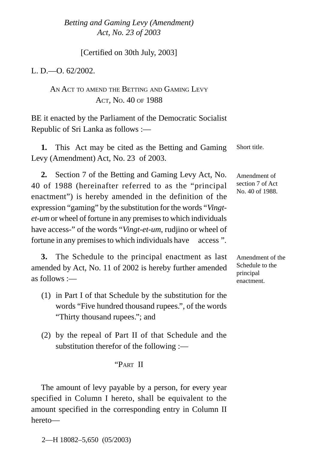#### *Betting and Gaming Levy (Amendment)* 1 *Act, No. 23 of 2003*

[Certified on 30th July, 2003]

L. D  $-$  0.62/2002.

### AN ACT TO AMEND THE BETTING AND GAMING LEVY ACT, NO. 40 OF 1988

BE it enacted by the Parliament of the Democratic Socialist Republic of Sri Lanka as follows :—

**1.** This Act may be cited as the Betting and Gaming Levy (Amendment) Act, No. 23 of 2003.

**2.** Section 7 of the Betting and Gaming Levy Act, No. 40 of 1988 (hereinafter referred to as the "principal enactment") is hereby amended in the definition of the expression "gaming" by the substitution for the words "*Vingtet-um* or wheel of fortune in any premises to which individuals have access-" of the words "*Vingt-et-um*, rudjino or wheel of fortune in any premises to which individuals have access".

**3.** The Schedule to the principal enactment as last amended by Act, No. 11 of 2002 is hereby further amended as follows  $=$ 

- (1) in Part I of that Schedule by the substitution for the words "Five hundred thousand rupees.", of the words "Thirty thousand rupees."; and
- (2) by the repeal of Part II of that Schedule and the substitution therefor of the following :—

#### "PART II

The amount of levy payable by a person, for every year specified in Column I hereto, shall be equivalent to the amount specified in the corresponding entry in Column II hereto—

2—H 18082–5,650 (05/2003)

Amendment of the

Schedule to the principal enactment.

Amendment of section 7 of Act No. 40 of 1988.

Short title.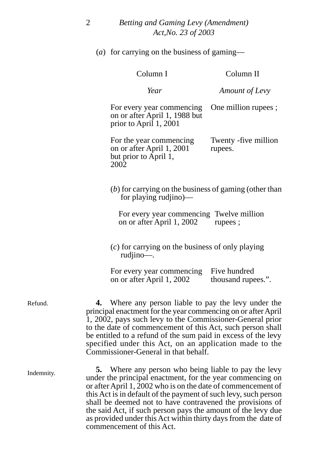(*a*) for carrying on the business of gaming—

|                                                                                                                                                                                                                                                                                                                                                                                                                   | Column I                                                                             | Column II                                                                                                                                                                                                                                         |  |
|-------------------------------------------------------------------------------------------------------------------------------------------------------------------------------------------------------------------------------------------------------------------------------------------------------------------------------------------------------------------------------------------------------------------|--------------------------------------------------------------------------------------|---------------------------------------------------------------------------------------------------------------------------------------------------------------------------------------------------------------------------------------------------|--|
|                                                                                                                                                                                                                                                                                                                                                                                                                   | Year                                                                                 | Amount of Levy                                                                                                                                                                                                                                    |  |
|                                                                                                                                                                                                                                                                                                                                                                                                                   | For every year commencing<br>on or after April 1, 1988 but<br>prior to April 1, 2001 | One million rupees;                                                                                                                                                                                                                               |  |
| 2002                                                                                                                                                                                                                                                                                                                                                                                                              | For the year commencing<br>on or after April 1, 2001<br>but prior to April 1,        | Twenty -five million<br>rupees.                                                                                                                                                                                                                   |  |
| $(b)$ for carrying on the business of gaming (other than<br>for playing rudiino)—                                                                                                                                                                                                                                                                                                                                 |                                                                                      |                                                                                                                                                                                                                                                   |  |
|                                                                                                                                                                                                                                                                                                                                                                                                                   | For every year commencing Twelve million<br>on or after April 1, 2002                | rupees;                                                                                                                                                                                                                                           |  |
|                                                                                                                                                                                                                                                                                                                                                                                                                   | $(c)$ for carrying on the business of only playing<br>rudjino-.                      |                                                                                                                                                                                                                                                   |  |
|                                                                                                                                                                                                                                                                                                                                                                                                                   | For every year commencing<br>on or after April 1, 2002                               | Five hundred<br>thousand rupees.".                                                                                                                                                                                                                |  |
| Where any person liable to pay the levy under the<br>principal enactment for the year commencing on or after April<br>1, 2002, pays such levy to the Commissioner-General prior<br>to the date of commencement of this Act, such person shall<br>be entitled to a refund of the sum paid in excess of the levy<br>specified under this Act, on an application made to the<br>Commissioner-General in that behalf. |                                                                                      |                                                                                                                                                                                                                                                   |  |
| 5.                                                                                                                                                                                                                                                                                                                                                                                                                |                                                                                      | Where any person who being liable to pay the levy<br>under the principal enactment, for the year commencing on<br>or after April 1, 2002 who is on the date of commencement of<br>this Act is in default of the payment of such levy, such person |  |

shall be deemed not to have contravened the provisions of the said Act, if such person pays the amount of the levy due as provided under this Act within thirty days from the date of

commencement of this Act.

Refund.

Indemnity.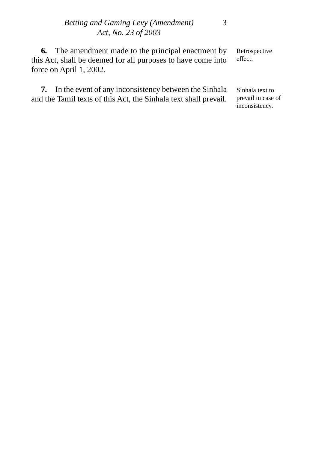Retrospective effect. **6.** The amendment made to the principal enactment by this Act, shall be deemed for all purposes to have come into force on April 1, 2002.

Sinhala text to prevail in case of inconsistency. **7.** In the event of any inconsistency between the Sinhala and the Tamil texts of this Act, the Sinhala text shall prevail.